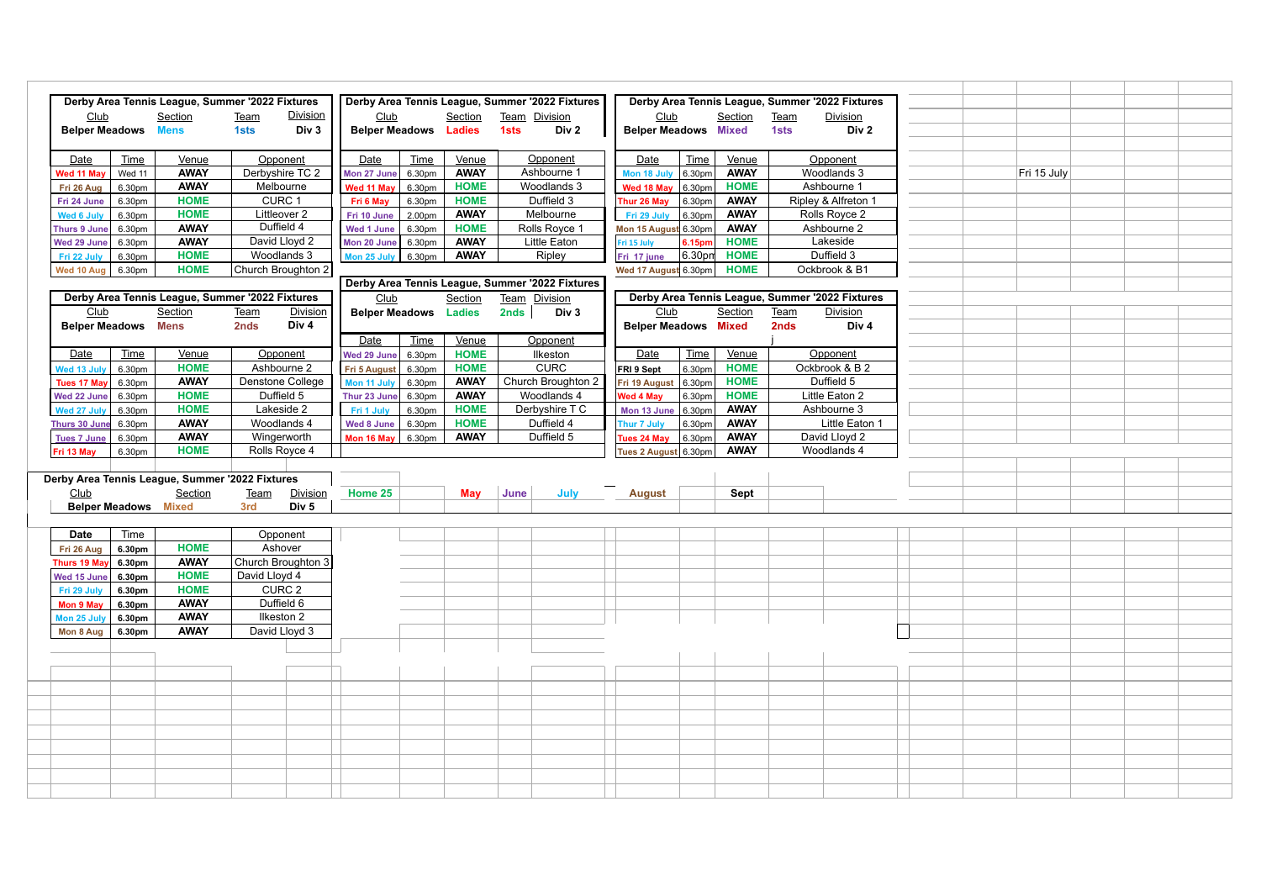|                             |             |                | Derby Area Tennis League, Summer '2022 Fixtures |                       |             |                | Derby Area Tennis League, Summer '2022 Fixtures |                             |                    |                |             | Derby Area Tennis League, Summer '2022 Fixtures |  |             |
|-----------------------------|-------------|----------------|-------------------------------------------------|-----------------------|-------------|----------------|-------------------------------------------------|-----------------------------|--------------------|----------------|-------------|-------------------------------------------------|--|-------------|
| <b>Club</b>                 |             | Section        | <b>Division</b><br><b>Team</b>                  | Club                  |             | <b>Section</b> | <b>Team Division</b>                            | <b>Club</b>                 |                    | <b>Section</b> | <b>Team</b> | <b>Division</b>                                 |  |             |
| <b>Belper Meadows</b>       |             | <b>Mens</b>    | Div <sub>3</sub><br><b>1sts</b>                 | <b>Belper Meadows</b> |             | <b>Ladies</b>  | Div 2<br><b>1sts</b>                            | <b>Belper Meadows</b>       |                    | Mixed          | 1sts        | Div 2                                           |  |             |
|                             |             |                |                                                 |                       |             |                |                                                 |                             |                    |                |             |                                                 |  |             |
| Date                        | Time        | Venue          | Opponent                                        | Date                  | Time        | Venue          | Opponent                                        | Date                        | Time               | Venue          |             | Opponent                                        |  |             |
| Wed 11 Ma                   | Wed 11      | <b>AWAY</b>    | Derbyshire TC 2                                 | Mon 27 June           | 6.30pm      | <b>AWAY</b>    | Ashbourne 1                                     | Mon 18 July                 | 6.30pm             | <b>AWAY</b>    |             | Woodlands 3                                     |  | Fri 15 July |
| Fri 26 Aug                  | 6.30pm      | <b>AWAY</b>    | Melbourne                                       | Wed 11 May            | 6.30pm      | <b>HOME</b>    | Woodlands 3                                     | Wed 18 May                  | 6.30pm             | <b>HOME</b>    |             | Ashbourne 1                                     |  |             |
| Fri 24 June                 | 6.30pm      | <b>HOME</b>    | <b>CURC1</b>                                    | Fri 6 May             | 6.30pm      | <b>HOME</b>    | Duffield 3                                      | Thur 26 May                 | 6.30pm             | <b>AWAY</b>    |             | Ripley & Alfreton 1                             |  |             |
| <b>Wed 6 July</b>           | 6.30pm      | <b>HOME</b>    | Littleover 2                                    | Fri 10 June           | 2.00pm      | <b>AWAY</b>    | Melbourne                                       | Fri 29 July                 | 6.30pm             | <b>AWAY</b>    |             | Rolls Royce 2                                   |  |             |
| Thurs 9 June                | 6.30pm      | <b>AWAY</b>    | Duffield 4                                      | <b>Wed 1 June</b>     | 6.30pm      | <b>HOME</b>    | Rolls Royce 1                                   | Mon 15 August 6.30pm        |                    | <b>AWAY</b>    |             | Ashbourne 2                                     |  |             |
| Wed 29 June                 | 6.30pm      | <b>AWAY</b>    | David Lloyd 2                                   | Mon 20 June           | 6.30pm      | <b>AWAY</b>    | Little Eaton                                    | Fri 15 July                 | <b>6.15pm</b>      | <b>HOME</b>    |             | Lakeside                                        |  |             |
| Fri 22 July                 | 6.30pm      | <b>HOME</b>    | Woodlands 3                                     | Mon 25 July           | 6.30pm      | <b>AWAY</b>    | <b>Ripley</b>                                   | Fri 17 june                 | 6.30pm             | <b>HOME</b>    |             | Duffield 3                                      |  |             |
|                             | 6.30pm      | <b>HOME</b>    | Church Broughton 2                              |                       |             |                |                                                 |                             |                    | <b>HOME</b>    |             | Ockbrook & B1                                   |  |             |
| Wed 10 Aug                  |             |                |                                                 |                       |             |                |                                                 | Wed 17 August 6.30pm        |                    |                |             |                                                 |  |             |
|                             |             |                |                                                 |                       |             |                | Derby Area Tennis League, Summer '2022 Fixtures |                             |                    |                |             |                                                 |  |             |
|                             |             |                | Derby Area Tennis League, Summer '2022 Fixtures | Club                  |             | <b>Section</b> | Team Division                                   |                             |                    |                |             | Derby Area Tennis League, Summer '2022 Fixtures |  |             |
| Club                        |             | <b>Section</b> | Team<br><b>Division</b>                         | <b>Belper Meadows</b> |             | <b>Ladies</b>  | 2nds<br>Div <sub>3</sub>                        | Club                        |                    | Section        | <b>Team</b> | <b>Division</b>                                 |  |             |
| <b>Belper Meadows</b>       |             | Mens           | Div <sub>4</sub><br>2nds                        |                       |             |                |                                                 | <b>Belper Meadows Mixed</b> |                    |                | 2nds        | Div <sub>4</sub>                                |  |             |
|                             |             |                |                                                 | Date                  | <u>Time</u> | Venue          | Opponent                                        |                             |                    |                |             |                                                 |  |             |
| Date                        | <b>Time</b> | Venue          | Opponent                                        | <b>Wed 29 June</b>    | 6.30pm      | <b>HOME</b>    | <b>Ilkeston</b>                                 | Date                        | <b>Time</b>        | Venue          |             | Opponent                                        |  |             |
| Wed 13 Jul                  | 6.30pm      | <b>HOME</b>    | Ashbourne 2                                     | <b>Fri 5 August</b>   | 6.30pm      | <b>HOME</b>    | <b>CURC</b>                                     | <b>FRI 9 Sept</b>           | 6.30pm             | <b>HOME</b>    |             | Ockbrook & B 2                                  |  |             |
| Tues 17 May                 | 6.30pm      | <b>AWAY</b>    | <b>Denstone College</b>                         | <b>Mon 11 July</b>    | 6.30pm      | <b>AWAY</b>    | Church Broughton 2                              | Fri 19 August               | 6.30 <sub>pm</sub> | <b>HOME</b>    |             | Duffield 5                                      |  |             |
| Wed 22 June                 | 6.30pm      | <b>HOME</b>    | Duffield 5                                      | Thur 23 June          | 6.30pm      | <b>AWAY</b>    | Woodlands 4                                     | <b>Wed 4 May</b>            | 6.30pm             | <b>HOME</b>    |             | Little Eaton 2                                  |  |             |
| <b>Wed 27 July</b>          | 6.30pm      | <b>HOME</b>    | Lakeside 2                                      | Fri 1 July            | 6.30pm      | <b>HOME</b>    | Derbyshire T C                                  | Mon 13 June $ 6.30$ pm      |                    | <b>AWAY</b>    |             | Ashbourne 3                                     |  |             |
| <b>Thurs 30 June</b>        | 6.30pm      | <b>AWAY</b>    | Woodlands 4                                     | <b>Wed 8 June</b>     | 6.30pm      | <b>HOME</b>    | Duffield 4                                      | <b>Thur 7 July</b>          | 6.30pm             | <b>AWAY</b>    |             | Little Eaton 1                                  |  |             |
| <b>Tues 7 June</b>          | 6.30pm      | <b>AWAY</b>    | Wingerworth                                     | Mon 16 May            | 6.30pm      | <b>AWAY</b>    | Duffield 5                                      | <b>Tues 24 May</b>          | 6.30pm             | <b>AWAY</b>    |             | David Lloyd 2                                   |  |             |
| Fri 13 May                  | 6.30pm      | <b>HOME</b>    | Rolls Royce 4                                   |                       |             |                |                                                 | Tues 2 August 6.30pm        |                    | <b>AWAY</b>    |             | Woodlands 4                                     |  |             |
|                             |             |                |                                                 |                       |             |                |                                                 |                             |                    |                |             |                                                 |  |             |
|                             |             |                |                                                 |                       |             |                |                                                 |                             |                    |                |             |                                                 |  |             |
|                             |             |                | Derby Area Tennis League, Summer '2022 Fixtures |                       |             |                |                                                 |                             |                    |                |             |                                                 |  |             |
| <b>Club</b>                 |             | <b>Section</b> | <b>Division</b><br><b>Team</b>                  | Home 25               |             | <b>May</b>     | July<br>June                                    | <b>August</b>               |                    | <b>Sept</b>    |             |                                                 |  |             |
| <b>Belper Meadows Mixed</b> |             |                | Div 5<br>3rd                                    |                       |             |                |                                                 |                             |                    |                |             |                                                 |  |             |
|                             |             |                |                                                 |                       |             |                |                                                 |                             |                    |                |             |                                                 |  |             |
| <b>Date</b>                 | Time        |                | Opponent                                        |                       |             |                |                                                 |                             |                    |                |             |                                                 |  |             |
| Fri 26 Aug                  | 6.30pm      | <b>HOME</b>    | Ashover                                         |                       |             |                |                                                 |                             |                    |                |             |                                                 |  |             |
| Thurs 19 May                | 6.30pm      | <b>AWAY</b>    | Church Broughton 3                              |                       |             |                |                                                 |                             |                    |                |             |                                                 |  |             |
| Wed 15 June                 | 6.30pm      | <b>HOME</b>    | David Lloyd 4                                   |                       |             |                |                                                 |                             |                    |                |             |                                                 |  |             |
| Fri 29 July                 | 6.30pm      | <b>HOME</b>    | <b>CURC 2</b>                                   |                       |             |                |                                                 |                             |                    |                |             |                                                 |  |             |
| <b>Mon 9 May</b>            | 6.30pm      | <b>AWAY</b>    | Duffield 6                                      |                       |             |                |                                                 |                             |                    |                |             |                                                 |  |             |
| Mon 25 July                 | 6.30pm      | <b>AWAY</b>    | Ilkeston 2                                      |                       |             |                |                                                 |                             |                    |                |             |                                                 |  |             |
| <b>Mon 8 Aug</b>            | 6.30pm      | <b>AWAY</b>    | David Lloyd 3                                   |                       |             |                |                                                 |                             |                    |                |             |                                                 |  |             |
|                             |             |                |                                                 |                       |             |                |                                                 |                             |                    |                |             |                                                 |  |             |
|                             |             |                |                                                 |                       |             |                |                                                 |                             |                    |                |             |                                                 |  |             |
|                             |             |                |                                                 |                       |             |                |                                                 |                             |                    |                |             |                                                 |  |             |
|                             |             |                |                                                 |                       |             |                |                                                 |                             |                    |                |             |                                                 |  |             |
|                             |             |                |                                                 |                       |             |                |                                                 |                             |                    |                |             |                                                 |  |             |
|                             |             |                |                                                 |                       |             |                |                                                 |                             |                    |                |             |                                                 |  |             |
|                             |             |                |                                                 |                       |             |                |                                                 |                             |                    |                |             |                                                 |  |             |
|                             |             |                |                                                 |                       |             |                |                                                 |                             |                    |                |             |                                                 |  |             |
|                             |             |                |                                                 |                       |             |                |                                                 |                             |                    |                |             |                                                 |  |             |
|                             |             |                |                                                 |                       |             |                |                                                 |                             |                    |                |             |                                                 |  |             |
|                             |             |                |                                                 |                       |             |                |                                                 |                             |                    |                |             |                                                 |  |             |
|                             |             |                |                                                 |                       |             |                |                                                 |                             |                    |                |             |                                                 |  |             |
|                             |             |                |                                                 |                       |             |                |                                                 |                             |                    |                |             |                                                 |  |             |

|            | <b>Immer '2022 Fixtures</b>  |  |             |  |
|------------|------------------------------|--|-------------|--|
| <u>eam</u> | <b>Division</b>              |  |             |  |
| sts        | Div 2                        |  |             |  |
|            |                              |  |             |  |
|            | Opponent                     |  |             |  |
|            | Woodlands 3                  |  | Fri 15 July |  |
|            | Ashbourne 1                  |  |             |  |
|            |                              |  |             |  |
|            | Ripley & Alfreton 1          |  |             |  |
|            | Rolls Royce 2                |  |             |  |
|            | Ashbourne 2                  |  |             |  |
|            | Lakeside                     |  |             |  |
|            | Duffield 3                   |  |             |  |
|            | Ockbrook & B1                |  |             |  |
|            |                              |  |             |  |
|            | <b>Immer '2022 Fixtures</b>  |  |             |  |
| <u>eam</u> | <b>Division</b>              |  |             |  |
| nds        | Div <sub>4</sub>             |  |             |  |
|            |                              |  |             |  |
|            | Opponent                     |  |             |  |
|            | Ockbrook & B 2               |  |             |  |
|            | Duffield 5                   |  |             |  |
|            | Little Eaton 2               |  |             |  |
|            | Ashbourne 3                  |  |             |  |
|            | Little Eaton 1               |  |             |  |
|            |                              |  |             |  |
|            | David Lloyd 2<br>Woodlands 4 |  |             |  |
|            |                              |  |             |  |
|            |                              |  |             |  |
|            |                              |  |             |  |
|            |                              |  |             |  |
|            |                              |  |             |  |
|            |                              |  |             |  |
|            |                              |  |             |  |
|            |                              |  |             |  |
|            |                              |  |             |  |
|            |                              |  |             |  |
|            |                              |  |             |  |
|            |                              |  |             |  |
|            |                              |  |             |  |
|            |                              |  |             |  |
|            |                              |  |             |  |
|            |                              |  |             |  |
|            |                              |  |             |  |
|            |                              |  |             |  |
|            |                              |  |             |  |
|            |                              |  |             |  |
|            |                              |  |             |  |
|            |                              |  |             |  |
|            |                              |  |             |  |
|            |                              |  |             |  |
|            |                              |  |             |  |
|            |                              |  |             |  |
|            |                              |  |             |  |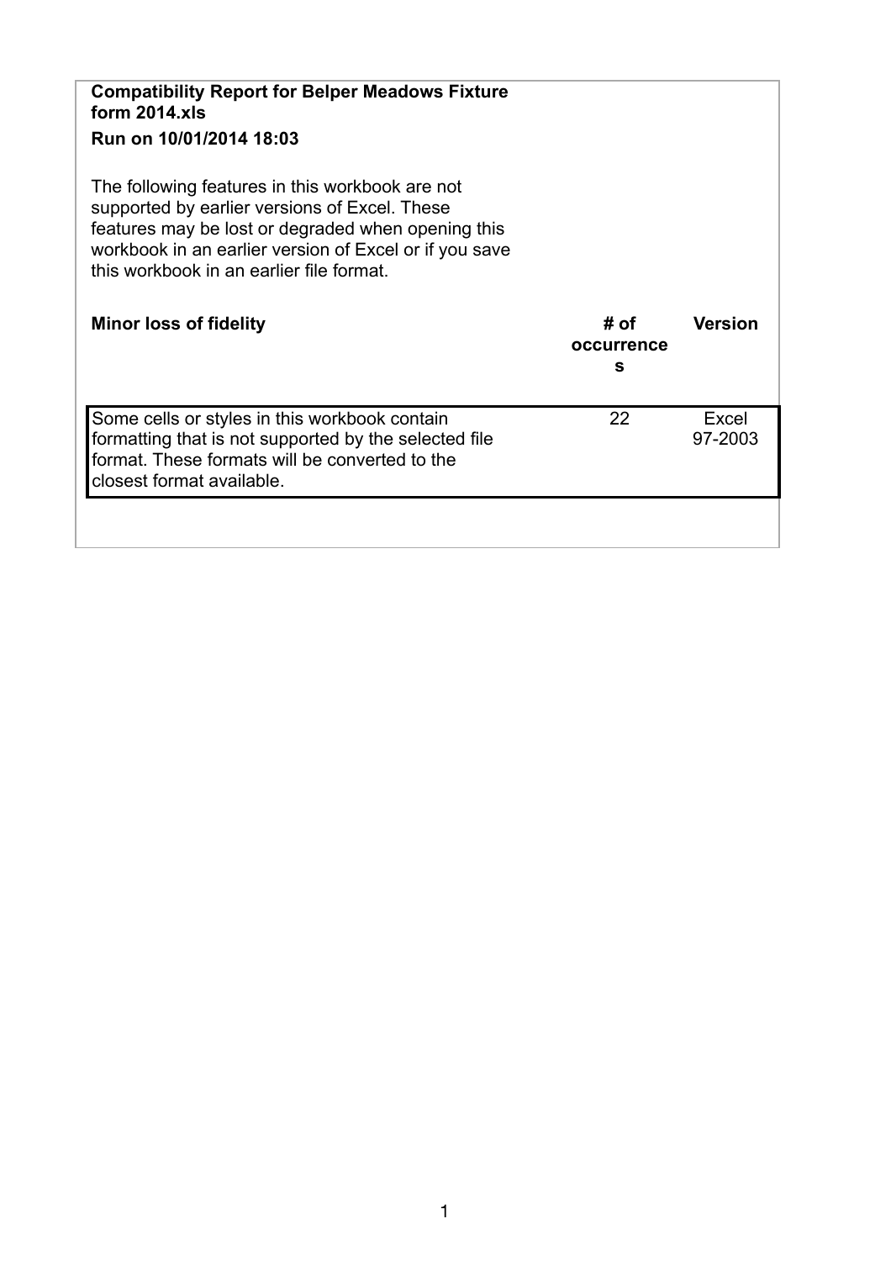| <b>Compatibility Report for Belper Meadows Fixture</b><br>form $2014.x$ ls<br>Run on 10/01/2014 18:03<br>The following features in this workbook are not<br>supported by earlier versions of Excel. These<br>features may be lost or degraded when opening this<br>workbook in an earlier version of Excel or if you save |                    |                  |
|---------------------------------------------------------------------------------------------------------------------------------------------------------------------------------------------------------------------------------------------------------------------------------------------------------------------------|--------------------|------------------|
| this workbook in an earlier file format.                                                                                                                                                                                                                                                                                  |                    |                  |
| <b>Minor loss of fidelity</b>                                                                                                                                                                                                                                                                                             | # of<br>occurrence | <b>Version</b>   |
|                                                                                                                                                                                                                                                                                                                           | s                  |                  |
| Some cells or styles in this workbook contain<br>formatting that is not supported by the selected file<br>format. These formats will be converted to the<br>closest format available.                                                                                                                                     | 22                 | Excel<br>97-2003 |